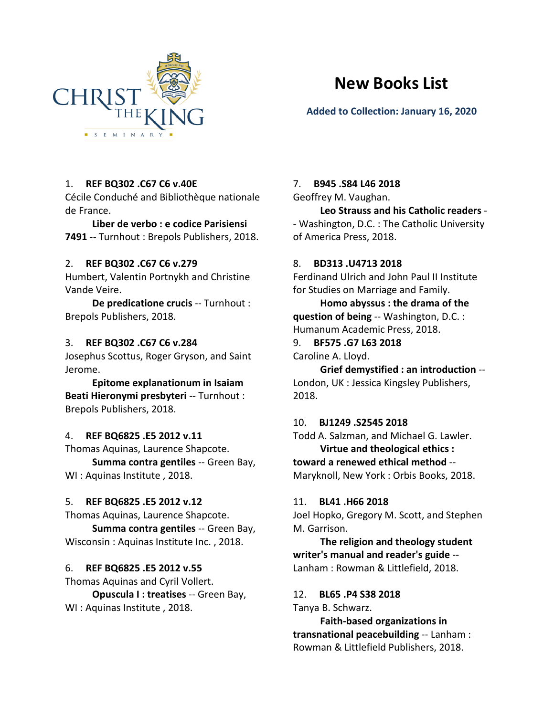

# **New Books List**

# **Added to Collection: January 16, 2020**

# 1. **REF BQ302 .C67 C6 v.40E**

Cécile Conduché and Bibliothèque nationale de France.

**Liber de verbo : e codice Parisiensi 7491** -- Turnhout : Brepols Publishers, 2018.

## 2. **REF BQ302 .C67 C6 v.279**

Humbert, Valentin Portnykh and Christine Vande Veire.

**De predicatione crucis** -- Turnhout : Brepols Publishers, 2018.

## 3. **REF BQ302 .C67 C6 v.284**

Josephus Scottus, Roger Gryson, and Saint Jerome.

**Epitome explanationum in Isaiam Beati Hieronymi presbyteri** -- Turnhout : Brepols Publishers, 2018.

## 4. **REF BQ6825 .E5 2012 v.11**

Thomas Aquinas, Laurence Shapcote.

**Summa contra gentiles** -- Green Bay, WI : Aquinas Institute , 2018.

# 5. **REF BQ6825 .E5 2012 v.12**

Thomas Aquinas, Laurence Shapcote. **Summa contra gentiles** -- Green Bay, Wisconsin : Aquinas Institute Inc. , 2018.

# 6. **REF BQ6825 .E5 2012 v.55**

Thomas Aquinas and Cyril Vollert.

**Opuscula I : treatises** -- Green Bay, WI : Aquinas Institute , 2018.

## 7. **B945 .S84 L46 2018**

Geoffrey M. Vaughan.

**Leo Strauss and his Catholic readers** - - Washington, D.C. : The Catholic University of America Press, 2018.

## 8. **BD313 .U4713 2018**

Ferdinand Ulrich and John Paul II Institute for Studies on Marriage and Family.

**Homo abyssus : the drama of the question of being** -- Washington, D.C. : Humanum Academic Press, 2018.

9. **BF575 .G7 L63 2018** Caroline A. Lloyd.

**Grief demystified : an introduction** -- London, UK : Jessica Kingsley Publishers, 2018.

# 10. **BJ1249 .S2545 2018**

Todd A. Salzman, and Michael G. Lawler. **Virtue and theological ethics : toward a renewed ethical method** -- Maryknoll, New York : Orbis Books, 2018.

## 11. **BL41 .H66 2018**

Joel Hopko, Gregory M. Scott, and Stephen M. Garrison.

**The religion and theology student writer's manual and reader's guide** -- Lanham : Rowman & Littlefield, 2018.

# 12. **BL65 .P4 S38 2018**

Tanya B. Schwarz.

**Faith-based organizations in transnational peacebuilding** -- Lanham : Rowman & Littlefield Publishers, 2018.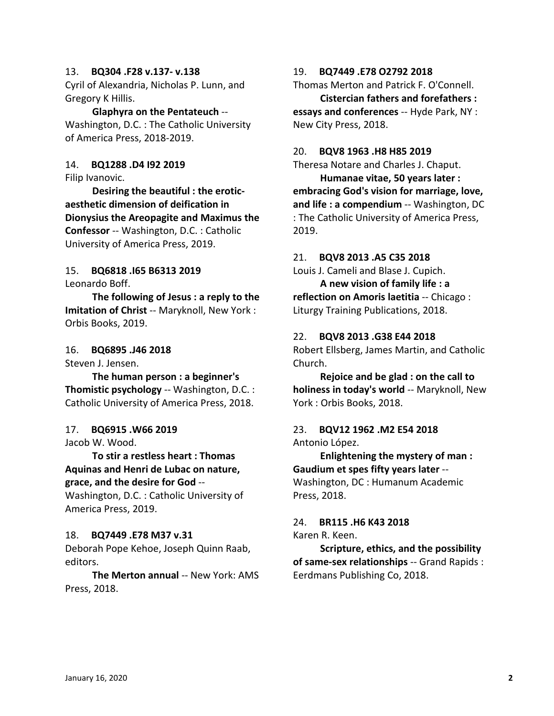#### 13. **BQ304 .F28 v.137- v.138**

Cyril of Alexandria, Nicholas P. Lunn, and Gregory K Hillis.

## **Glaphyra on the Pentateuch** --

Washington, D.C. : The Catholic University of America Press, 2018-2019.

# 14. **BQ1288 .D4 I92 2019**

Filip Ivanovic.

**Desiring the beautiful : the eroticaesthetic dimension of deification in Dionysius the Areopagite and Maximus the Confessor** -- Washington, D.C. : Catholic University of America Press, 2019.

# 15. **BQ6818 .I65 B6313 2019**

Leonardo Boff.

**The following of Jesus : a reply to the Imitation of Christ** -- Maryknoll, New York : Orbis Books, 2019.

#### 16. **BQ6895 .J46 2018**

Steven J. Jensen.

**The human person : a beginner's Thomistic psychology** -- Washington, D.C. : Catholic University of America Press, 2018.

## 17. **BQ6915 .W66 2019**

Jacob W. Wood.

**To stir a restless heart : Thomas Aquinas and Henri de Lubac on nature, grace, and the desire for God** --

Washington, D.C. : Catholic University of America Press, 2019.

#### 18. **BQ7449 .E78 M37 v.31**

Deborah Pope Kehoe, Joseph Quinn Raab, editors.

**The Merton annual** -- New York: AMS Press, 2018.

#### 19. **BQ7449 .E78 O2792 2018**

Thomas Merton and Patrick F. O'Connell. **Cistercian fathers and forefathers : essays and conferences** -- Hyde Park, NY : New City Press, 2018.

#### 20. **BQV8 1963 .H8 H85 2019**

Theresa Notare and Charles J. Chaput.

**Humanae vitae, 50 years later : embracing God's vision for marriage, love, and life : a compendium** -- Washington, DC : The Catholic University of America Press, 2019.

#### 21. **BQV8 2013 .A5 C35 2018**

Louis J. Cameli and Blase J. Cupich.

**A new vision of family life : a reflection on Amoris laetitia** -- Chicago : Liturgy Training Publications, 2018.

#### 22. **BQV8 2013 .G38 E44 2018**

Robert Ellsberg, James Martin, and Catholic Church.

**Rejoice and be glad : on the call to holiness in today's world** -- Maryknoll, New York : Orbis Books, 2018.

## 23. **BQV12 1962 .M2 E54 2018** Antonio López.

**Enlightening the mystery of man : Gaudium et spes fifty years later** -- Washington, DC : Humanum Academic Press, 2018.

# 24. **BR115 .H6 K43 2018**

Karen R. Keen.

**Scripture, ethics, and the possibility of same-sex relationships** -- Grand Rapids : Eerdmans Publishing Co, 2018.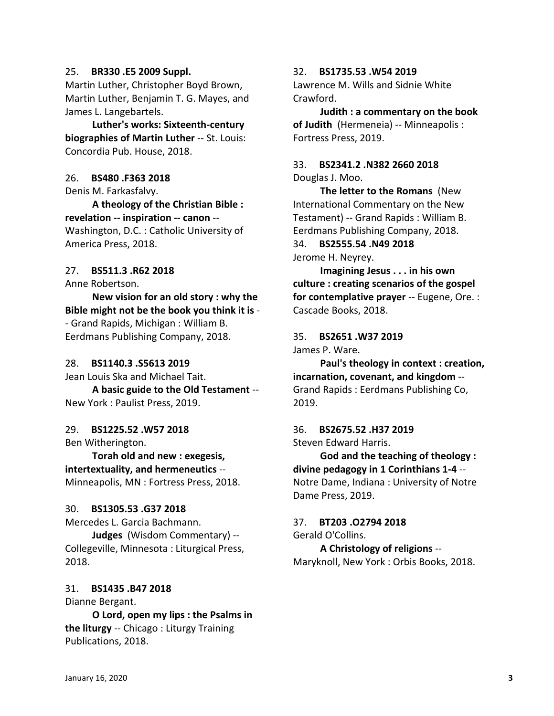#### 25. **BR330 .E5 2009 Suppl.**

Martin Luther, Christopher Boyd Brown, Martin Luther, Benjamin T. G. Mayes, and James L. Langebartels.

**Luther's works: Sixteenth-century biographies of Martin Luther** -- St. Louis: Concordia Pub. House, 2018.

#### 26. **BS480 .F363 2018**

Denis M. Farkasfalvy.

**A theology of the Christian Bible : revelation -- inspiration -- canon** -- Washington, D.C. : Catholic University of America Press, 2018.

## 27. **BS511.3 .R62 2018**

Anne Robertson.

**New vision for an old story : why the Bible might not be the book you think it is** - - Grand Rapids, Michigan : William B. Eerdmans Publishing Company, 2018.

#### 28. **BS1140.3 .S5613 2019**

Jean Louis Ska and Michael Tait.

**A basic guide to the Old Testament** -- New York : Paulist Press, 2019.

#### 29. **BS1225.52 .W57 2018**

Ben Witherington.

**Torah old and new : exegesis, intertextuality, and hermeneutics** -- Minneapolis, MN : Fortress Press, 2018.

#### 30. **BS1305.53 .G37 2018**

Mercedes L. Garcia Bachmann.

**Judges** (Wisdom Commentary) -- Collegeville, Minnesota : Liturgical Press, 2018.

## 31. **BS1435 .B47 2018**

Dianne Bergant.

**O Lord, open my lips : the Psalms in the liturgy** -- Chicago : Liturgy Training Publications, 2018.

#### 32. **BS1735.53 .W54 2019**

Lawrence M. Wills and Sidnie White Crawford.

**Judith : a commentary on the book of Judith** (Hermeneia) -- Minneapolis : Fortress Press, 2019.

## 33. **BS2341.2 .N382 2660 2018** Douglas J. Moo.

**The letter to the Romans** (New International Commentary on the New Testament) -- Grand Rapids : William B. Eerdmans Publishing Company, 2018.

34. **BS2555.54 .N49 2018** Jerome H. Neyrey.

**Imagining Jesus . . . in his own culture : creating scenarios of the gospel for contemplative prayer** -- Eugene, Ore. : Cascade Books, 2018.

#### 35. **BS2651 .W37 2019**

James P. Ware.

**Paul's theology in context : creation, incarnation, covenant, and kingdom** -- Grand Rapids : Eerdmans Publishing Co, 2019.

# 36. **BS2675.52 .H37 2019**

Steven Edward Harris.

**God and the teaching of theology : divine pedagogy in 1 Corinthians 1-4** -- Notre Dame, Indiana : University of Notre Dame Press, 2019.

# 37. **BT203 .O2794 2018**

Gerald O'Collins. **A Christology of religions** -- Maryknoll, New York : Orbis Books, 2018.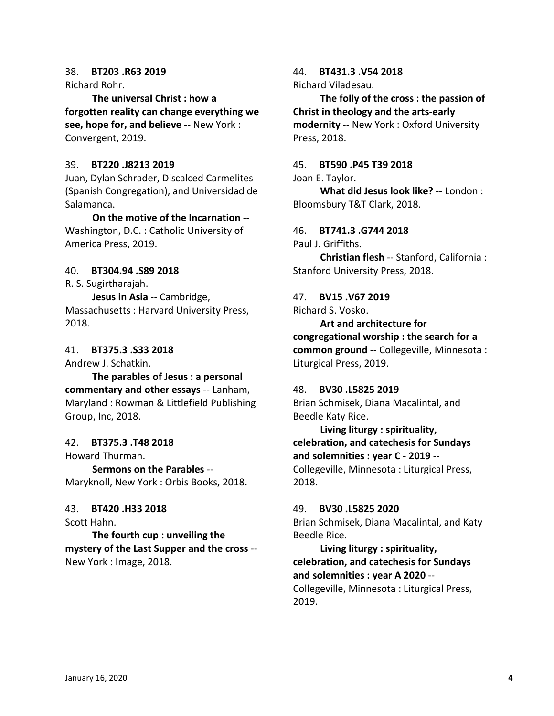#### 38. **BT203 .R63 2019**

Richard Rohr.

**The universal Christ : how a forgotten reality can change everything we see, hope for, and believe** -- New York : Convergent, 2019.

## 39. **BT220 .J8213 2019**

Juan, Dylan Schrader, Discalced Carmelites (Spanish Congregation), and Universidad de Salamanca.

**On the motive of the Incarnation** -- Washington, D.C. : Catholic University of America Press, 2019.

#### 40. **BT304.94 .S89 2018**

R. S. Sugirtharajah.

**Jesus in Asia** -- Cambridge, Massachusetts : Harvard University Press, 2018.

### 41. **BT375.3 .S33 2018**

Andrew J. Schatkin.

**The parables of Jesus : a personal commentary and other essays** -- Lanham, Maryland : Rowman & Littlefield Publishing Group, Inc, 2018.

#### 42. **BT375.3 .T48 2018**

Howard Thurman.

**Sermons on the Parables** -- Maryknoll, New York : Orbis Books, 2018.

## 43. **BT420 .H33 2018**

Scott Hahn.

**The fourth cup : unveiling the mystery of the Last Supper and the cross** -- New York : Image, 2018.

## 44. **BT431.3 .V54 2018**

Richard Viladesau.

**The folly of the cross : the passion of Christ in theology and the arts-early modernity** -- New York : Oxford University Press, 2018.

#### 45. **BT590 .P45 T39 2018**

Joan E. Taylor. **What did Jesus look like?** -- London : Bloomsbury T&T Clark, 2018.

#### 46. **BT741.3 .G744 2018**

Paul J. Griffiths.

**Christian flesh** -- Stanford, California : Stanford University Press, 2018.

#### 47. **BV15 .V67 2019**

Richard S. Vosko.

**Art and architecture for congregational worship : the search for a common ground** -- Collegeville, Minnesota : Liturgical Press, 2019.

### 48. **BV30 .L5825 2019**

Brian Schmisek, Diana Macalintal, and Beedle Katy Rice.

**Living liturgy : spirituality, celebration, and catechesis for Sundays and solemnities : year C - 2019** -- Collegeville, Minnesota : Liturgical Press, 2018.

## 49. **BV30 .L5825 2020**

Brian Schmisek, Diana Macalintal, and Katy Beedle Rice.

**Living liturgy : spirituality, celebration, and catechesis for Sundays and solemnities : year A 2020** -- Collegeville, Minnesota : Liturgical Press, 2019.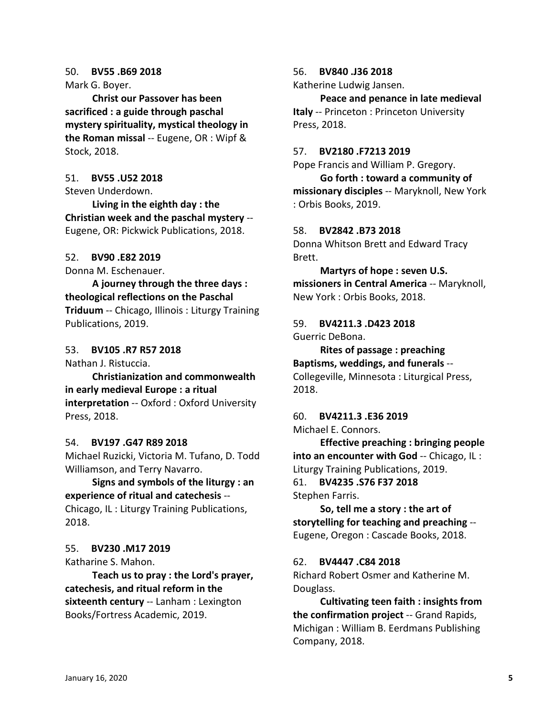#### 50. **BV55 .B69 2018**

Mark G. Boyer.

**Christ our Passover has been sacrificed : a guide through paschal mystery spirituality, mystical theology in the Roman missal** -- Eugene, OR : Wipf & Stock, 2018.

#### 51. **BV55 .U52 2018**

Steven Underdown.

**Living in the eighth day : the Christian week and the paschal mystery** -- Eugene, OR: Pickwick Publications, 2018.

#### 52. **BV90 .E82 2019**

Donna M. Eschenauer.

**A journey through the three days : theological reflections on the Paschal Triduum** -- Chicago, Illinois : Liturgy Training Publications, 2019.

## 53. **BV105 .R7 R57 2018**

Nathan J. Ristuccia.

**Christianization and commonwealth in early medieval Europe : a ritual interpretation** -- Oxford : Oxford University Press, 2018.

#### 54. **BV197 .G47 R89 2018**

Michael Ruzicki, Victoria M. Tufano, D. Todd Williamson, and Terry Navarro.

**Signs and symbols of the liturgy : an experience of ritual and catechesis** --

Chicago, IL : Liturgy Training Publications, 2018.

## 55. **BV230 .M17 2019**

Katharine S. Mahon.

**Teach us to pray : the Lord's prayer, catechesis, and ritual reform in the sixteenth century** -- Lanham : Lexington Books/Fortress Academic, 2019.

#### 56. **BV840 .J36 2018**

Katherine Ludwig Jansen.

**Peace and penance in late medieval Italy** -- Princeton : Princeton University Press, 2018.

### 57. **BV2180 .F7213 2019**

Pope Francis and William P. Gregory.

**Go forth : toward a community of missionary disciples** -- Maryknoll, New York : Orbis Books, 2019.

#### 58. **BV2842 .B73 2018**

Donna Whitson Brett and Edward Tracy Brett.

**Martyrs of hope : seven U.S. missioners in Central America** -- Maryknoll, New York : Orbis Books, 2018.

## 59. **BV4211.3 .D423 2018**

Guerric DeBona.

**Rites of passage : preaching Baptisms, weddings, and funerals** -- Collegeville, Minnesota : Liturgical Press, 2018.

#### 60. **BV4211.3 .E36 2019**

Michael E. Connors.

**Effective preaching : bringing people into an encounter with God** -- Chicago, IL : Liturgy Training Publications, 2019.

61. **BV4235 .S76 F37 2018** Stephen Farris.

**So, tell me a story : the art of storytelling for teaching and preaching** -- Eugene, Oregon : Cascade Books, 2018.

#### 62. **BV4447 .C84 2018**

Richard Robert Osmer and Katherine M. Douglass.

**Cultivating teen faith : insights from the confirmation project** -- Grand Rapids, Michigan : William B. Eerdmans Publishing Company, 2018.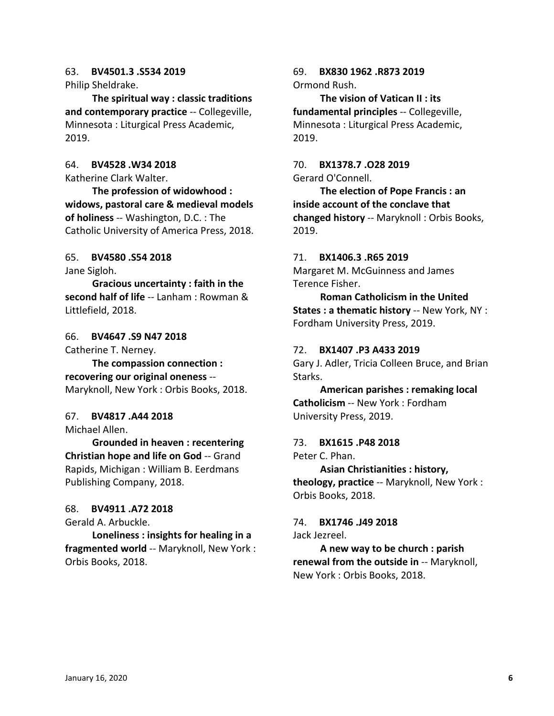# 63. **BV4501.3 .S534 2019**

Philip Sheldrake.

**The spiritual way : classic traditions and contemporary practice** -- Collegeville, Minnesota : Liturgical Press Academic, 2019.

# 64. **BV4528 .W34 2018**

Katherine Clark Walter.

**The profession of widowhood : widows, pastoral care & medieval models of holiness** -- Washington, D.C. : The Catholic University of America Press, 2018.

## 65. **BV4580 .S54 2018**

Jane Sigloh.

**Gracious uncertainty : faith in the second half of life** -- Lanham : Rowman & Littlefield, 2018.

## 66. **BV4647 .S9 N47 2018**

Catherine T. Nerney.

**The compassion connection : recovering our original oneness** -- Maryknoll, New York : Orbis Books, 2018.

## 67. **BV4817 .A44 2018**

Michael Allen.

**Grounded in heaven : recentering Christian hope and life on God** -- Grand Rapids, Michigan : William B. Eerdmans Publishing Company, 2018.

## 68. **BV4911 .A72 2018**

Gerald A. Arbuckle.

**Loneliness : insights for healing in a fragmented world** -- Maryknoll, New York : Orbis Books, 2018.

## 69. **BX830 1962 .R873 2019** Ormond Rush.

**The vision of Vatican II : its fundamental principles** -- Collegeville, Minnesota : Liturgical Press Academic, 2019.

## 70. **BX1378.7 .O28 2019** Gerard O'Connell.

**The election of Pope Francis : an inside account of the conclave that changed history** -- Maryknoll : Orbis Books, 2019.

## 71. **BX1406.3 .R65 2019**

Margaret M. McGuinness and James Terence Fisher.

**Roman Catholicism in the United States : a thematic history** -- New York, NY : Fordham University Press, 2019.

## 72. **BX1407 .P3 A433 2019**

Gary J. Adler, Tricia Colleen Bruce, and Brian Starks.

**American parishes : remaking local Catholicism** -- New York : Fordham University Press, 2019.

# 73. **BX1615 .P48 2018**

Peter C. Phan.

## **Asian Christianities : history, theology, practice** -- Maryknoll, New York : Orbis Books, 2018.

# 74. **BX1746 .J49 2018**

Jack Jezreel.

**A new way to be church : parish renewal from the outside in** -- Maryknoll, New York : Orbis Books, 2018.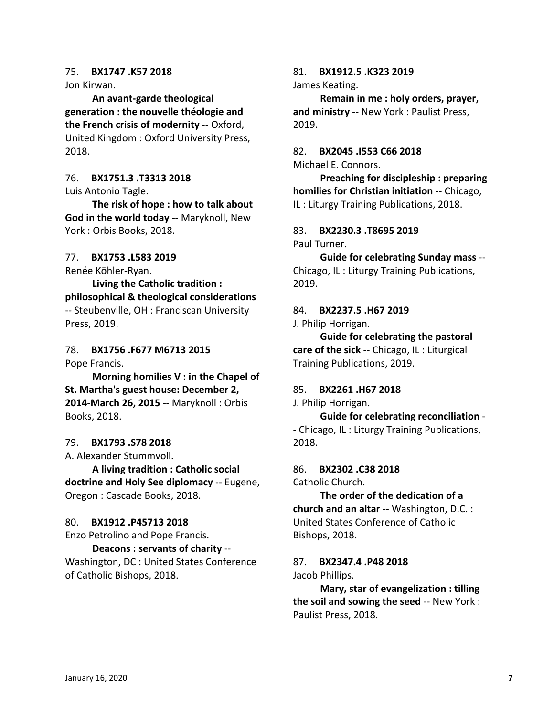#### 75. **BX1747 .K57 2018**

Jon Kirwan.

**An avant-garde theological generation : the nouvelle théologie and the French crisis of modernity** -- Oxford, United Kingdom : Oxford University Press, 2018.

76. **BX1751.3 .T3313 2018**

Luis Antonio Tagle.

**The risk of hope : how to talk about God in the world today** -- Maryknoll, New York : Orbis Books, 2018.

77. **BX1753 .L583 2019**

Renée Köhler-Ryan.

**Living the Catholic tradition : philosophical & theological considerations** -- Steubenville, OH : Franciscan University Press, 2019.

78. **BX1756 .F677 M6713 2015**

Pope Francis.

**Morning homilies V : in the Chapel of St. Martha's guest house: December 2, 2014-March 26, 2015** -- Maryknoll : Orbis Books, 2018.

#### 79. **BX1793 .S78 2018**

A. Alexander Stummvoll.

**A living tradition : Catholic social doctrine and Holy See diplomacy** -- Eugene, Oregon : Cascade Books, 2018.

#### 80. **BX1912 .P45713 2018**

Enzo Petrolino and Pope Francis. **Deacons : servants of charity** -- Washington, DC : United States Conference of Catholic Bishops, 2018.

#### 81. **BX1912.5 .K323 2019**

James Keating.

**Remain in me : holy orders, prayer, and ministry** -- New York : Paulist Press, 2019.

#### 82. **BX2045 .I553 C66 2018**

Michael E. Connors.

**Preaching for discipleship : preparing homilies for Christian initiation** -- Chicago, IL : Liturgy Training Publications, 2018.

83. **BX2230.3 .T8695 2019** Paul Turner.

**Guide for celebrating Sunday mass** -- Chicago, IL : Liturgy Training Publications, 2019.

#### 84. **BX2237.5 .H67 2019**

J. Philip Horrigan.

**Guide for celebrating the pastoral care of the sick** -- Chicago, IL : Liturgical Training Publications, 2019.

## 85. **BX2261 .H67 2018**

J. Philip Horrigan.

**Guide for celebrating reconciliation** - - Chicago, IL : Liturgy Training Publications, 2018.

86. **BX2302 .C38 2018**

Catholic Church.

**The order of the dedication of a church and an altar** -- Washington, D.C. : United States Conference of Catholic Bishops, 2018.

## 87. **BX2347.4 .P48 2018** Jacob Phillips.

**Mary, star of evangelization : tilling the soil and sowing the seed** -- New York : Paulist Press, 2018.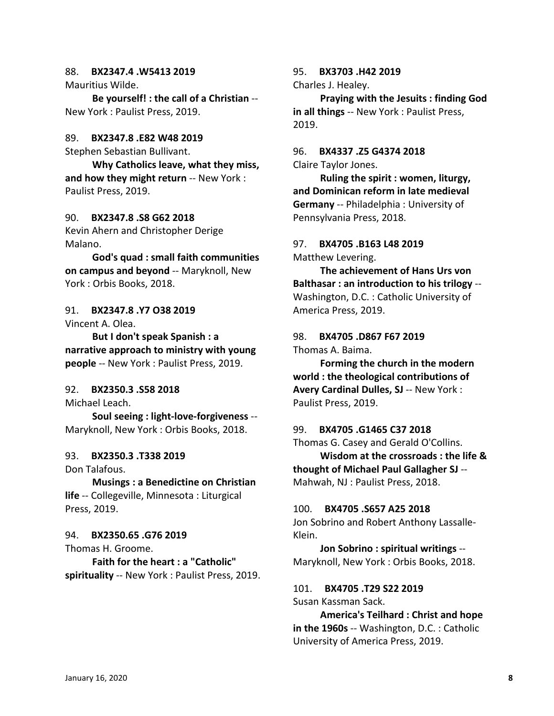#### 88. **BX2347.4 .W5413 2019**

Mauritius Wilde.

**Be yourself! : the call of a Christian** -- New York : Paulist Press, 2019.

#### 89. **BX2347.8 .E82 W48 2019**

Stephen Sebastian Bullivant.

**Why Catholics leave, what they miss, and how they might return** -- New York : Paulist Press, 2019.

#### 90. **BX2347.8 .S8 G62 2018**

Kevin Ahern and Christopher Derige Malano.

**God's quad : small faith communities on campus and beyond** -- Maryknoll, New York : Orbis Books, 2018.

## 91. **BX2347.8 .Y7 O38 2019**

Vincent A. Olea.

**But I don't speak Spanish : a narrative approach to ministry with young people** -- New York : Paulist Press, 2019.

### 92. **BX2350.3 .S58 2018**

Michael Leach.

**Soul seeing : light-love-forgiveness** -- Maryknoll, New York : Orbis Books, 2018.

#### 93. **BX2350.3 .T338 2019**

Don Talafous.

**Musings : a Benedictine on Christian life** -- Collegeville, Minnesota : Liturgical Press, 2019.

#### 94. **BX2350.65 .G76 2019**

Thomas H. Groome.

**Faith for the heart : a "Catholic" spirituality** -- New York : Paulist Press, 2019.

## 95. **BX3703 .H42 2019**

Charles J. Healey.

**Praying with the Jesuits : finding God in all things** -- New York : Paulist Press, 2019.

96. **BX4337 .Z5 G4374 2018** Claire Taylor Jones.

**Ruling the spirit : women, liturgy, and Dominican reform in late medieval Germany** -- Philadelphia : University of Pennsylvania Press, 2018.

#### 97. **BX4705 .B163 L48 2019**

Matthew Levering.

**The achievement of Hans Urs von Balthasar : an introduction to his trilogy** -- Washington, D.C. : Catholic University of America Press, 2019.

## 98. **BX4705 .D867 F67 2019**

Thomas A. Baima.

**Forming the church in the modern world : the theological contributions of Avery Cardinal Dulles, SJ** -- New York : Paulist Press, 2019.

#### 99. **BX4705 .G1465 C37 2018**

Thomas G. Casey and Gerald O'Collins.

**Wisdom at the crossroads : the life & thought of Michael Paul Gallagher SJ** -- Mahwah, NJ : Paulist Press, 2018.

100. **BX4705 .S657 A25 2018** Jon Sobrino and Robert Anthony Lassalle-

Klein. **Jon Sobrino : spiritual writings** -- Maryknoll, New York : Orbis Books, 2018.

101. **BX4705 .T29 S22 2019** Susan Kassman Sack.

**America's Teilhard : Christ and hope in the 1960s** -- Washington, D.C. : Catholic University of America Press, 2019.